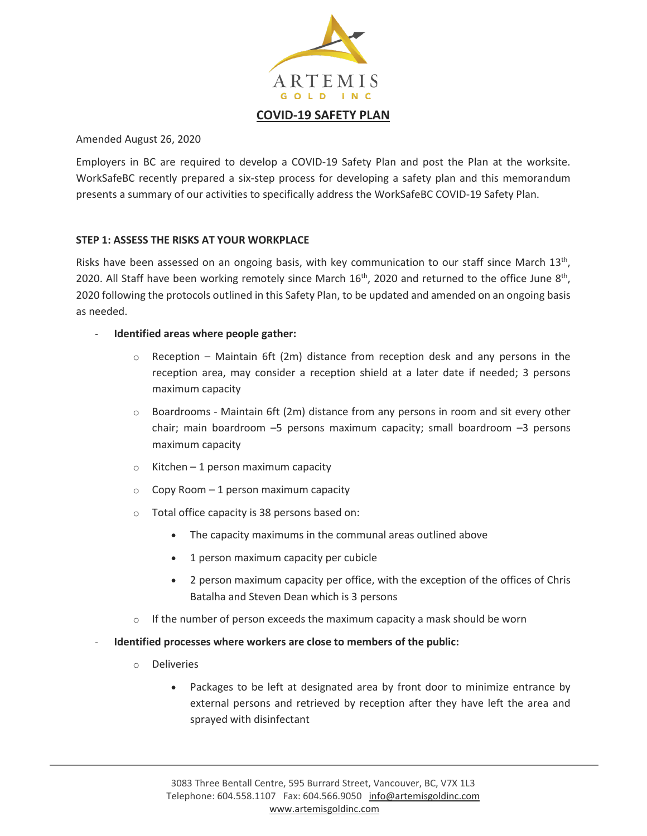

Amended August 26, 2020

Employers in BC are required to develop a COVID-19 Safety Plan and post the Plan at the worksite. WorkSafeBC recently prepared a six-step process for developing a safety plan and this memorandum presents a summary of our activities to specifically address the WorkSafeBC COVID-19 Safety Plan.

### **STEP 1: ASSESS THE RISKS AT YOUR WORKPLACE**

Risks have been assessed on an ongoing basis, with key communication to our staff since March 13<sup>th</sup>, 2020. All Staff have been working remotely since March  $16<sup>th</sup>$ , 2020 and returned to the office June  $8<sup>th</sup>$ , 2020 following the protocols outlined in this Safety Plan, to be updated and amended on an ongoing basis as needed.

- **Identified areas where people gather:**
	- $\circ$  Reception Maintain 6ft (2m) distance from reception desk and any persons in the reception area, may consider a reception shield at a later date if needed; 3 persons maximum capacity
	- $\circ$  Boardrooms Maintain 6ft (2m) distance from any persons in room and sit every other chair; main boardroom –5 persons maximum capacity; small boardroom –3 persons maximum capacity
	- $\circ$  Kitchen 1 person maximum capacity
	- $\circ$  Copy Room 1 person maximum capacity
	- o Total office capacity is 38 persons based on:
		- The capacity maximums in the communal areas outlined above
		- 1 person maximum capacity per cubicle
		- 2 person maximum capacity per office, with the exception of the offices of Chris Batalha and Steven Dean which is 3 persons
	- $\circ$  If the number of person exceeds the maximum capacity a mask should be worn
- Identified processes where workers are close to members of the public:
	- o Deliveries
		- Packages to be left at designated area by front door to minimize entrance by external persons and retrieved by reception after they have left the area and sprayed with disinfectant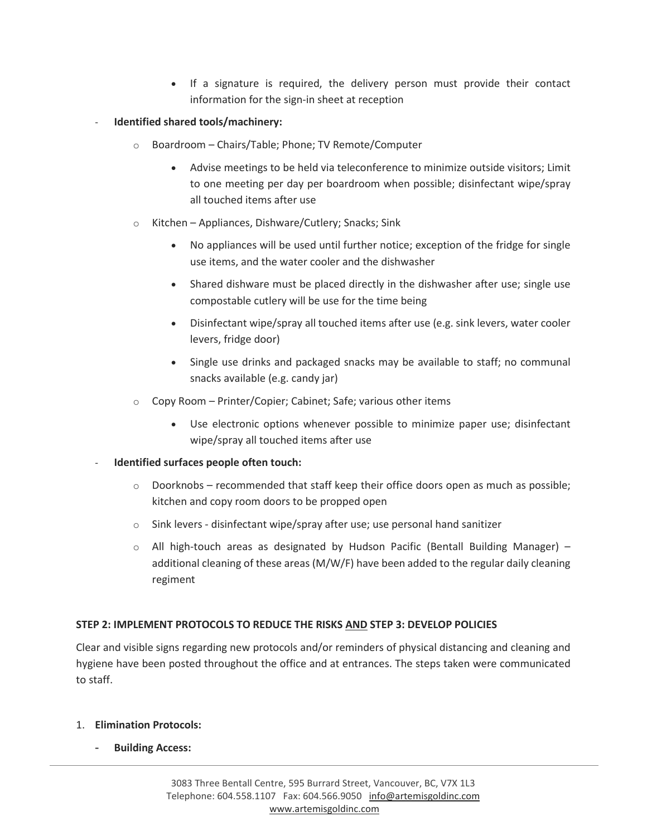- If a signature is required, the delivery person must provide their contact information for the sign-in sheet at reception
- **Identified shared tools/machinery:**
	- o Boardroom Chairs/Table; Phone; TV Remote/Computer
		- Advise meetings to be held via teleconference to minimize outside visitors; Limit to one meeting per day per boardroom when possible; disinfectant wipe/spray all touched items after use
	- o Kitchen Appliances, Dishware/Cutlery; Snacks; Sink
		- No appliances will be used until further notice; exception of the fridge for single use items, and the water cooler and the dishwasher
		- Shared dishware must be placed directly in the dishwasher after use; single use compostable cutlery will be use for the time being
		- Disinfectant wipe/spray all touched items after use (e.g. sink levers, water cooler levers, fridge door)
		- Single use drinks and packaged snacks may be available to staff; no communal snacks available (e.g. candy jar)
	- o Copy Room Printer/Copier; Cabinet; Safe; various other items
		- Use electronic options whenever possible to minimize paper use; disinfectant wipe/spray all touched items after use

### - **Identified surfaces people often touch:**

- $\circ$  Doorknobs recommended that staff keep their office doors open as much as possible; kitchen and copy room doors to be propped open
- $\circ$  Sink levers disinfectant wipe/spray after use; use personal hand sanitizer
- $\circ$  All high-touch areas as designated by Hudson Pacific (Bentall Building Manager) additional cleaning of these areas (M/W/F) have been added to the regular daily cleaning regiment

## **STEP 2: IMPLEMENT PROTOCOLS TO REDUCE THE RISKS AND STEP 3: DEVELOP POLICIES**

Clear and visible signs regarding new protocols and/or reminders of physical distancing and cleaning and hygiene have been posted throughout the office and at entrances. The steps taken were communicated to staff.

### 1. **Elimination Protocols:**

- **Building Access:**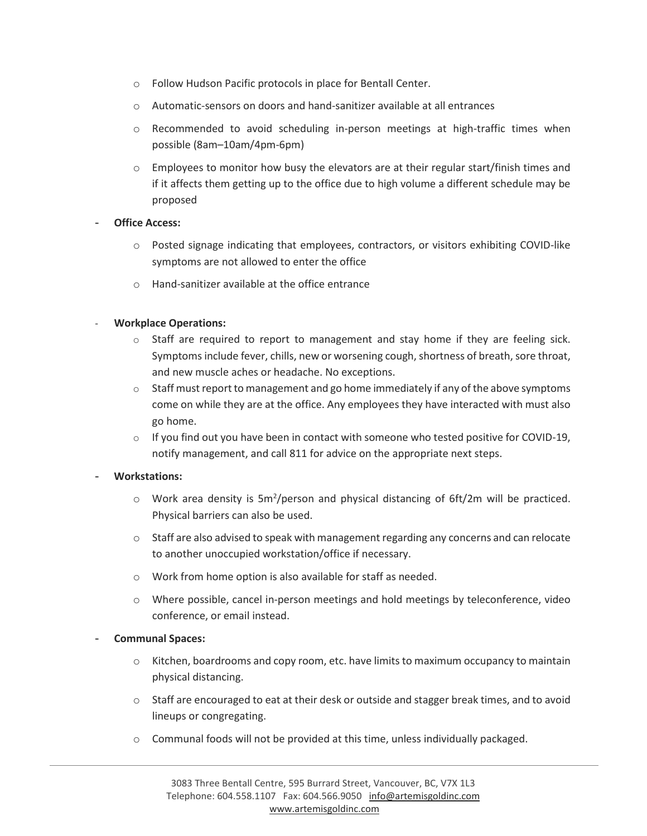- o Follow Hudson Pacific protocols in place for Bentall Center.
- o Automatic-sensors on doors and hand-sanitizer available at all entrances
- o Recommended to avoid scheduling in-person meetings at high-traffic times when possible (8am–10am/4pm-6pm)
- $\circ$  Employees to monitor how busy the elevators are at their regular start/finish times and if it affects them getting up to the office due to high volume a different schedule may be proposed

### **Office Access:**

- o Posted signage indicating that employees, contractors, or visitors exhibiting COVID-like symptoms are not allowed to enter the office
- o Hand-sanitizer available at the office entrance

## - **Workplace Operations:**

- $\circ$  Staff are required to report to management and stay home if they are feeling sick. Symptoms include fever, chills, new or worsening cough, shortness of breath, sore throat, and new muscle aches or headache. No exceptions.
- o Staff must report to management and go home immediately if any of the above symptoms come on while they are at the office. Any employees they have interacted with must also go home.
- $\circ$  If you find out you have been in contact with someone who tested positive for COVID-19, notify management, and call 811 for advice on the appropriate next steps.

## - **Workstations:**

- $\circ$  Work area density is 5m<sup>2</sup>/person and physical distancing of 6ft/2m will be practiced. Physical barriers can also be used.
- $\circ$  Staff are also advised to speak with management regarding any concerns and can relocate to another unoccupied workstation/office if necessary.
- o Work from home option is also available for staff as needed.
- o Where possible, cancel in-person meetings and hold meetings by teleconference, video conference, or email instead.

### - **Communal Spaces:**

- o Kitchen, boardrooms and copy room, etc. have limits to maximum occupancy to maintain physical distancing.
- o Staff are encouraged to eat at their desk or outside and stagger break times, and to avoid lineups or congregating.
- $\circ$  Communal foods will not be provided at this time, unless individually packaged.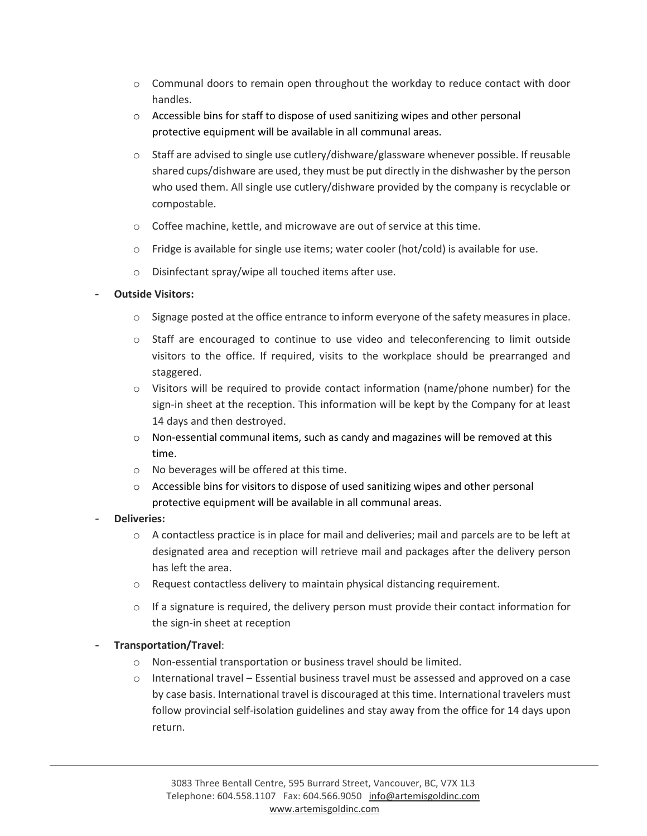- $\circ$  Communal doors to remain open throughout the workday to reduce contact with door handles.
- o Accessible bins for staff to dispose of used sanitizing wipes and other personal protective equipment will be available in all communal areas.
- $\circ$  Staff are advised to single use cutlery/dishware/glassware whenever possible. If reusable shared cups/dishware are used, they must be put directly in the dishwasher by the person who used them. All single use cutlery/dishware provided by the company is recyclable or compostable.
- o Coffee machine, kettle, and microwave are out of service at this time.
- $\circ$  Fridge is available for single use items; water cooler (hot/cold) is available for use.
- o Disinfectant spray/wipe all touched items after use.

## - **Outside Visitors:**

- $\circ$  Signage posted at the office entrance to inform everyone of the safety measures in place.
- $\circ$  Staff are encouraged to continue to use video and teleconferencing to limit outside visitors to the office. If required, visits to the workplace should be prearranged and staggered.
- $\circ$  Visitors will be required to provide contact information (name/phone number) for the sign-in sheet at the reception. This information will be kept by the Company for at least 14 days and then destroyed.
- $\circ$  Non-essential communal items, such as candy and magazines will be removed at this time.
- o No beverages will be offered at this time.
- o Accessible bins for visitors to dispose of used sanitizing wipes and other personal protective equipment will be available in all communal areas.
- **Deliveries:**
	- $\circ$  A contactless practice is in place for mail and deliveries; mail and parcels are to be left at designated area and reception will retrieve mail and packages after the delivery person has left the area.
	- o Request contactless delivery to maintain physical distancing requirement.
	- $\circ$  If a signature is required, the delivery person must provide their contact information for the sign-in sheet at reception

## - **Transportation/Travel**:

- o Non-essential transportation or business travel should be limited.
- o International travel Essential business travel must be assessed and approved on a case by case basis. International travel is discouraged at this time. International travelers must follow provincial self-isolation guidelines and stay away from the office for 14 days upon return.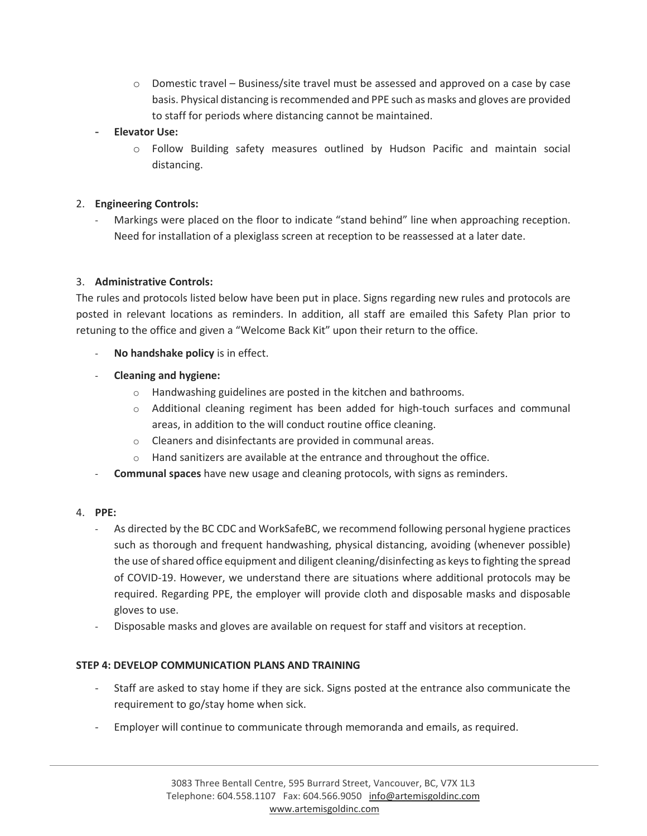- $\circ$  Domestic travel Business/site travel must be assessed and approved on a case by case basis. Physical distancing is recommended and PPE such as masks and gloves are provided to staff for periods where distancing cannot be maintained.
- **Elevator Use:**
	- o Follow Building safety measures outlined by Hudson Pacific and maintain social distancing.

### 2. **Engineering Controls:**

Markings were placed on the floor to indicate "stand behind" line when approaching reception. Need for installation of a plexiglass screen at reception to be reassessed at a later date.

### 3. **Administrative Controls:**

The rules and protocols listed below have been put in place. Signs regarding new rules and protocols are posted in relevant locations as reminders. In addition, all staff are emailed this Safety Plan prior to retuning to the office and given a "Welcome Back Kit" upon their return to the office.

- No handshake policy is in effect.
- **Cleaning and hygiene:**
	- o Handwashing guidelines are posted in the kitchen and bathrooms.
	- $\circ$  Additional cleaning regiment has been added for high-touch surfaces and communal areas, in addition to the will conduct routine office cleaning.
	- o Cleaners and disinfectants are provided in communal areas.
	- o Hand sanitizers are available at the entrance and throughout the office.
- **Communal spaces** have new usage and cleaning protocols, with signs as reminders.

### 4. **PPE:**

- As directed by the BC CDC and WorkSafeBC, we recommend following personal hygiene practices such as thorough and frequent handwashing, physical distancing, avoiding (whenever possible) the use of shared office equipment and diligent cleaning/disinfecting as keys to fighting the spread of COVID-19. However, we understand there are situations where additional protocols may be required. Regarding PPE, the employer will provide cloth and disposable masks and disposable gloves to use.
- Disposable masks and gloves are available on request for staff and visitors at reception.

### **STEP 4: DEVELOP COMMUNICATION PLANS AND TRAINING**

- Staff are asked to stay home if they are sick. Signs posted at the entrance also communicate the requirement to go/stay home when sick.
- Employer will continue to communicate through memoranda and emails, as required.